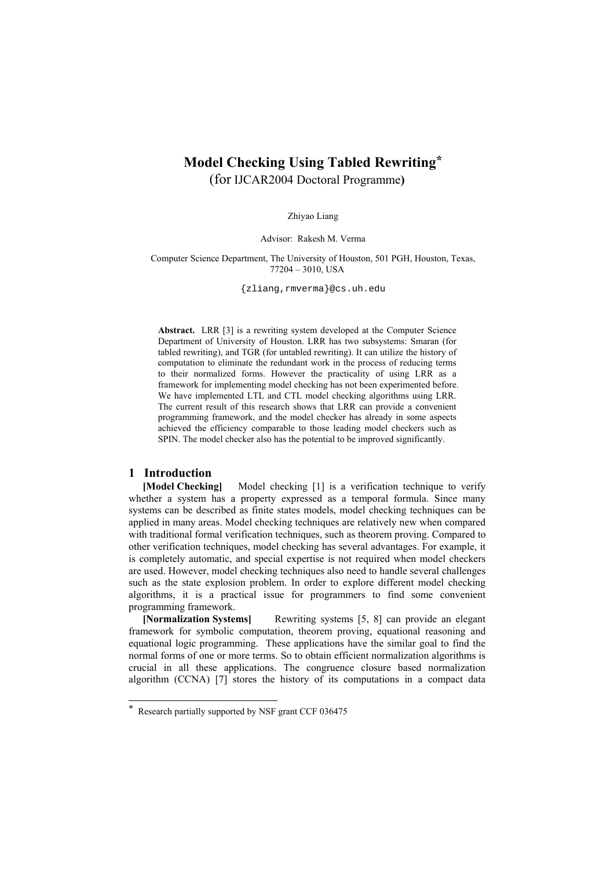# **Model Checking Using Tabled Rewritin[g\\*](#page-0-0)**  (for IJCAR2004 Doctoral Programme**)**

Zhiyao Liang

Advisor: Rakesh M. Verma

Computer Science Department, The University of Houston, 501 PGH, Houston, Texas, 77204 – 3010, USA

{zliang,rmverma}@cs.uh.edu

**Abstract.** LRR [3] is a rewriting system developed at the Computer Science Department of University of Houston. LRR has two subsystems: Smaran (for tabled rewriting), and TGR (for untabled rewriting). It can utilize the history of computation to eliminate the redundant work in the process of reducing terms to their normalized forms. However the practicality of using LRR as a framework for implementing model checking has not been experimented before. We have implemented LTL and CTL model checking algorithms using LRR. The current result of this research shows that LRR can provide a convenient programming framework, and the model checker has already in some aspects achieved the efficiency comparable to those leading model checkers such as SPIN. The model checker also has the potential to be improved significantly.

## **1 Introduction**

l

**[Model Checking]** Model checking [1] is a verification technique to verify whether a system has a property expressed as a temporal formula. Since many systems can be described as finite states models, model checking techniques can be applied in many areas. Model checking techniques are relatively new when compared with traditional formal verification techniques, such as theorem proving. Compared to other verification techniques, model checking has several advantages. For example, it is completely automatic, and special expertise is not required when model checkers are used. However, model checking techniques also need to handle several challenges such as the state explosion problem. In order to explore different model checking algorithms, it is a practical issue for programmers to find some convenient programming framework.

**[Normalization Systems]** Rewriting systems [5, 8] can provide an elegant framework for symbolic computation, theorem proving, equational reasoning and equational logic programming. These applications have the similar goal to find the normal forms of one or more terms. So to obtain efficient normalization algorithms is crucial in all these applications. The congruence closure based normalization algorithm (CCNA) [7] stores the history of its computations in a compact data

<span id="page-0-0"></span><sup>\*</sup> Research partially supported by NSF grant CCF 036475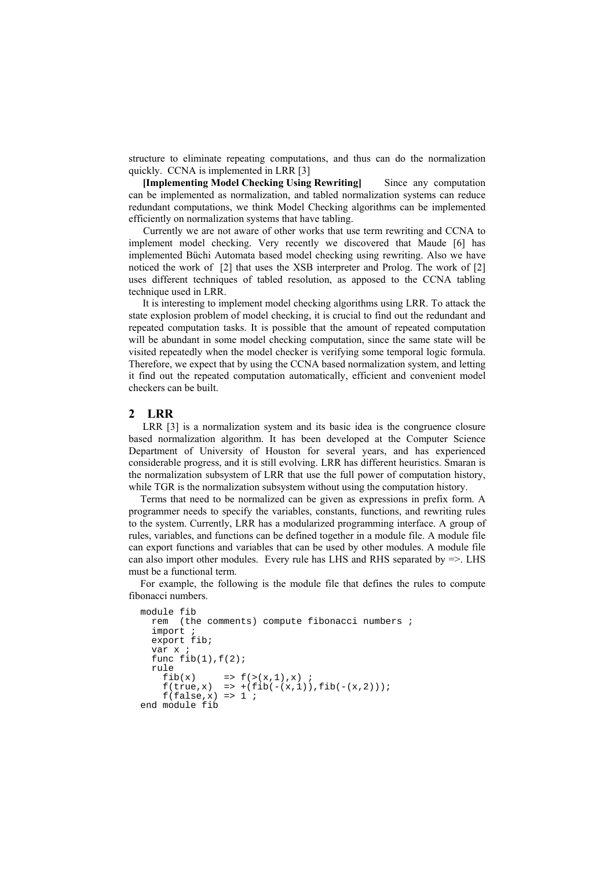structure to eliminate repeating computations, and thus can do the normalization quickly. CCNA is implemented in LRR [3]

**[Implementing Model Checking Using Rewriting]** Since any computation can be implemented as normalization, and tabled normalization systems can reduce redundant computations, we think Model Checking algorithms can be implemented efficiently on normalization systems that have tabling.

 Currently we are not aware of other works that use term rewriting and CCNA to implement model checking. Very recently we discovered that Maude [6] has implemented Büchi Automata based model checking using rewriting. Also we have noticed the work of [2] that uses the XSB interpreter and Prolog. The work of [2] uses different techniques of tabled resolution, as apposed to the CCNA tabling technique used in LRR.

It is interesting to implement model checking algorithms using LRR. To attack the state explosion problem of model checking, it is crucial to find out the redundant and repeated computation tasks. It is possible that the amount of repeated computation will be abundant in some model checking computation, since the same state will be visited repeatedly when the model checker is verifying some temporal logic formula. Therefore, we expect that by using the CCNA based normalization system, and letting it find out the repeated computation automatically, efficient and convenient model checkers can be built.

### **2 LRR**

LRR [3] is a normalization system and its basic idea is the congruence closure based normalization algorithm. It has been developed at the Computer Science Department of University of Houston for several years, and has experienced considerable progress, and it is still evolving. LRR has different heuristics. Smaran is the normalization subsystem of LRR that use the full power of computation history, while TGR is the normalization subsystem without using the computation history.

Terms that need to be normalized can be given as expressions in prefix form. A programmer needs to specify the variables, constants, functions, and rewriting rules to the system. Currently, LRR has a modularized programming interface. A group of rules, variables, and functions can be defined together in a module file. A module file can export functions and variables that can be used by other modules. A module file can also import other modules. Every rule has LHS and RHS separated by  $\Rightarrow$ . LHS must be a functional term.

For example, the following is the module file that defines the rules to compute fibonacci numbers.

```
module fib 
   rem (the comments) compute fibonacci numbers ; 
  import ;
   export fib; 
   var x ; 
  func fib(1), f(2);
   rule 
    fib(x) => f(x|, 1), x) ;
    f(true, x) => +(fib(-(x,1)),fib(-(x,2)));
    f(false,x) \Rightarrow 1;
end module fib
```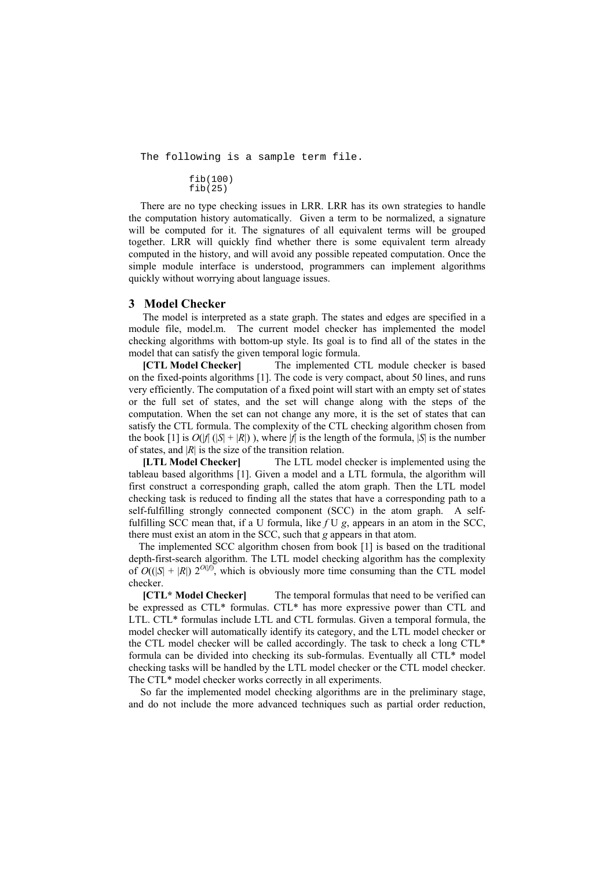The following is a sample term file.

fib(100)  $fib(25)$ 

There are no type checking issues in LRR. LRR has its own strategies to handle the computation history automatically. Given a term to be normalized, a signature will be computed for it. The signatures of all equivalent terms will be grouped together. LRR will quickly find whether there is some equivalent term already computed in the history, and will avoid any possible repeated computation. Once the simple module interface is understood, programmers can implement algorithms quickly without worrying about language issues.

## **3 Model Checker**

The model is interpreted as a state graph. The states and edges are specified in a module file, model.m. The current model checker has implemented the model checking algorithms with bottom-up style. Its goal is to find all of the states in the model that can satisfy the given temporal logic formula.

**[CTL Model Checker]** The implemented CTL module checker is based on the fixed-points algorithms [1]. The code is very compact, about 50 lines, and runs very efficiently. The computation of a fixed point will start with an empty set of states or the full set of states, and the set will change along with the steps of the computation. When the set can not change any more, it is the set of states that can satisfy the CTL formula. The complexity of the CTL checking algorithm chosen from the book  $[1]$  is  $O(|f|(|S| + |R|))$ , where  $|f|$  is the length of the formula,  $|S|$  is the number of states, and  $|R|$  is the size of the transition relation.

**[LTL Model Checker]** The LTL model checker is implemented using the tableau based algorithms [1]. Given a model and a LTL formula, the algorithm will first construct a corresponding graph, called the atom graph. Then the LTL model checking task is reduced to finding all the states that have a corresponding path to a self-fulfilling strongly connected component (SCC) in the atom graph. A selffulfilling SCC mean that, if a U formula, like *f* U *g*, appears in an atom in the SCC, there must exist an atom in the SCC, such that *g* appears in that atom.

The implemented SCC algorithm chosen from book [1] is based on the traditional depth-first-search algorithm. The LTL model checking algorithm has the complexity of  $O(|S| + |R|) 2^{O(|f|)}$ , which is obviously more time consuming than the CTL model checker.

**[CTL\* Model Checker]** The temporal formulas that need to be verified can be expressed as CTL\* formulas. CTL\* has more expressive power than CTL and LTL. CTL\* formulas include LTL and CTL formulas. Given a temporal formula, the model checker will automatically identify its category, and the LTL model checker or the CTL model checker will be called accordingly. The task to check a long CTL\* formula can be divided into checking its sub-formulas. Eventually all CTL\* model checking tasks will be handled by the LTL model checker or the CTL model checker. The CTL\* model checker works correctly in all experiments.

So far the implemented model checking algorithms are in the preliminary stage, and do not include the more advanced techniques such as partial order reduction,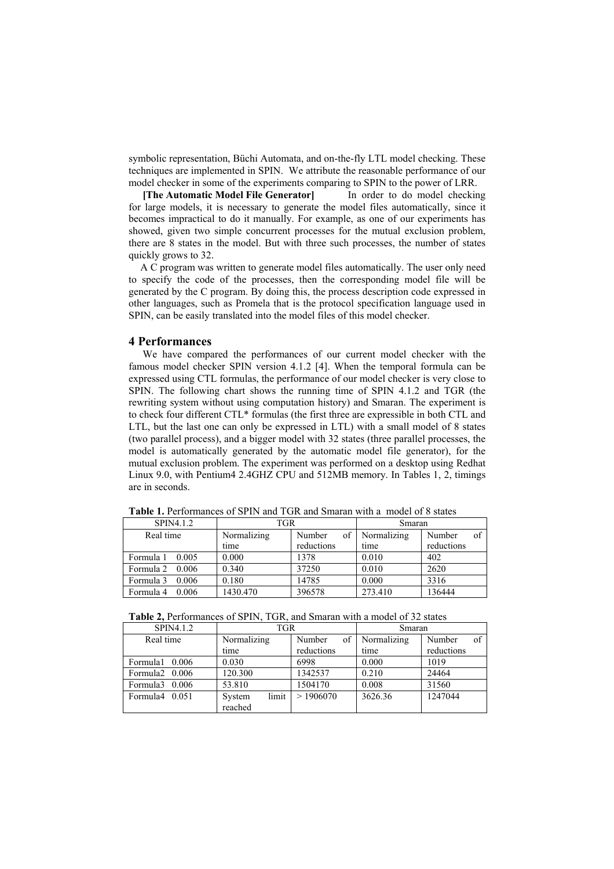symbolic representation, Büchi Automata, and on-the-fly LTL model checking. These techniques are implemented in SPIN. We attribute the reasonable performance of our model checker in some of the experiments comparing to SPIN to the power of LRR.

**[The Automatic Model File Generator]** In order to do model checking for large models, it is necessary to generate the model files automatically, since it becomes impractical to do it manually. For example, as one of our experiments has showed, given two simple concurrent processes for the mutual exclusion problem, there are 8 states in the model. But with three such processes, the number of states quickly grows to 32.

A C program was written to generate model files automatically. The user only need to specify the code of the processes, then the corresponding model file will be generated by the C program. By doing this, the process description code expressed in other languages, such as Promela that is the protocol specification language used in SPIN, can be easily translated into the model files of this model checker.

#### **4 Performances**

We have compared the performances of our current model checker with the famous model checker SPIN version 4.1.2 [4]. When the temporal formula can be expressed using CTL formulas, the performance of our model checker is very close to SPIN. The following chart shows the running time of SPIN 4.1.2 and TGR (the rewriting system without using computation history) and Smaran. The experiment is to check four different CTL\* formulas (the first three are expressible in both CTL and LTL, but the last one can only be expressed in LTL) with a small model of 8 states (two parallel process), and a bigger model with 32 states (three parallel processes, the model is automatically generated by the automatic model file generator), for the mutual exclusion problem. The experiment was performed on a desktop using Redhat Linux 9.0, with Pentium4 2.4GHZ CPU and 512MB memory. In Tables 1, 2, timings are in seconds.

| SPIN4.1.2               | TGR         |              | Smaran      |              |
|-------------------------|-------------|--------------|-------------|--------------|
| Real time               | Normalizing | of<br>Number | Normalizing | of<br>Number |
|                         | time        | reductions   | time        | reductions   |
| Formula $1 \quad 0.005$ | 0.000       | 1378         | 0.010       | 402          |
| Formula $2 \quad 0.006$ | 0.340       | 37250        | 0.010       | 2620         |
| Formula $3$ 0.006       | 0.180       | 14785        | 0.000       | 3316         |
| Formula 4<br>0.006      | 1430.470    | 396578       | 273.410     | 136444       |

**Table 1.** Performances of SPIN and TGR and Smaran with a model of 8 states

| Table 2, Performances of SPIN, TGR, and Smaran with a model of 32 states |  |
|--------------------------------------------------------------------------|--|
|--------------------------------------------------------------------------|--|

| SPIN4.1.2      | TGR             |              | Smaran      |              |
|----------------|-----------------|--------------|-------------|--------------|
| Real time      | Normalizing     | of<br>Number | Normalizing | of<br>Number |
|                | time            | reductions   | time        | reductions   |
| Formula 10.006 | 0.030           | 6998         | 0.000       | 1019         |
| Formula2 0.006 | 120.300         | 1342537      | 0.210       | 24464        |
| Formula3 0.006 | 53.810          | 1504170      | 0.008       | 31560        |
| Formula4 0.051 | limit<br>System | >1906070     | 3626.36     | 1247044      |
|                | reached         |              |             |              |